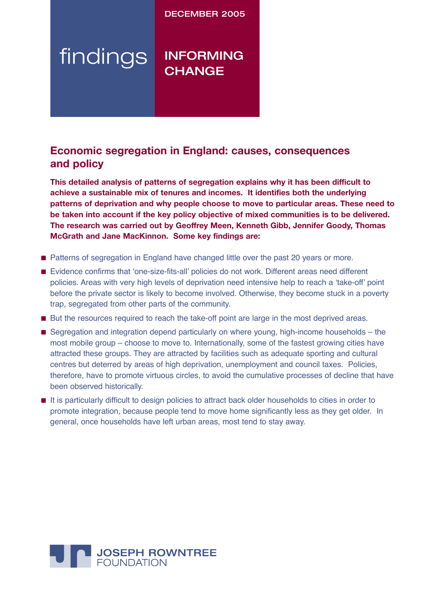## DECEMBER 2005

# findings INFORMING **CHANGE**

# **Economic segregation in England: causes, consequences and policy**

**This detailed analysis of patterns of segregation explains why it has been difficult to achieve a sustainable mix of tenures and incomes. It identifies both the underlying patterns of deprivation and why people choose to move to particular areas. These need to be taken into account if the key policy objective of mixed communities is to be delivered. The research was carried out by Geoffrey Meen, Kenneth Gibb, Jennifer Goody, Thomas McGrath and Jane MacKinnon. Some key findings are:**

- Patterns of segregation in England have changed little over the past 20 years or more.
- Evidence confirms that 'one-size-fits-all' policies do not work. Different areas need different policies. Areas with very high levels of deprivation need intensive help to reach a ʻtake-off' point before the private sector is likely to become involved. Otherwise, they become stuck in a poverty trap, segregated from other parts of the community.
- But the resources required to reach the take-off point are large in the most deprived areas.
- Segregation and integration depend particularly on where young, high-income households the most mobile group – choose to move to. Internationally, some of the fastest growing cities have attracted these groups. They are attracted by facilities such as adequate sporting and cultural centres but deterred by areas of high deprivation, unemployment and council taxes. Policies, therefore, have to promote virtuous circles, to avoid the cumulative processes of decline that have been observed historically.
- It is particularly difficult to design policies to attract back older households to cities in order to promote integration, because people tend to move home significantly less as they get older. In general, once households have left urban areas, most tend to stay away.

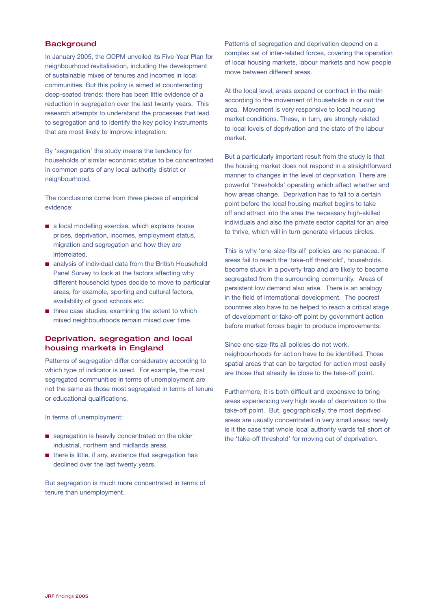#### **Background**

In January 2005, the ODPM unveiled its Five-Year Plan for neighbourhood revitalisation, including the development of sustainable mixes of tenures and incomes in local communities. But this policy is aimed at counteracting deep-seated trends: there has been little evidence of a reduction in segregation over the last twenty years. This research attempts to understand the processes that lead to segregation and to identify the key policy instruments that are most likely to improve integration.

By 'segregation' the study means the tendency for households of similar economic status to be concentrated in common parts of any local authority district or neighbourhood.

The conclusions come from three pieces of empirical evidence:

- a local modelling exercise, which explains house prices, deprivation, incomes, employment status, migration and segregation and how they are interrelated.
- analysis of individual data from the British Household Panel Survey to look at the factors affecting why different household types decide to move to particular areas, for example, sporting and cultural factors, availability of good schools etc.
- three case studies, examining the extent to which mixed neighbourhoods remain mixed over time.

## Deprivation, segregation and local housing markets in England

Patterns of segregation differ considerably according to which type of indicator is used. For example, the most segregated communities in terms of unemployment are not the same as those most segregated in terms of tenure or educational qualifications.

In terms of unemployment:

- segregation is heavily concentrated on the older industrial, northern and midlands areas.
- there is little, if any, evidence that segregation has declined over the last twenty years.

But segregation is much more concentrated in terms of tenure than unemployment.

Patterns of segregation and deprivation depend on a complex set of inter-related forces, covering the operation of local housing markets, labour markets and how people move between different areas.

At the local level, areas expand or contract in the main according to the movement of households in or out the area. Movement is very responsive to local housing market conditions. These, in turn, are strongly related to local levels of deprivation and the state of the labour market.

But a particularly important result from the study is that the housing market does not respond in a straightforward manner to changes in the level of deprivation. There are powerful 'thresholds' operating which affect whether and how areas change. Deprivation has to fall to a certain point before the local housing market begins to take off and attract into the area the necessary high-skilled individuals and also the private sector capital for an area to thrive, which will in turn generate virtuous circles.

This is why 'one-size-fits-all' policies are no panacea. If areas fail to reach the 'take-off threshold', households become stuck in a poverty trap and are likely to become segregated from the surrounding community. Areas of persistent low demand also arise. There is an analogy in the field of international development. The poorest countries also have to be helped to reach a critical stage of development or take-off point by government action before market forces begin to produce improvements.

Since one-size-fits all policies do not work, neighbourhoods for action have to be identified. Those spatial areas that can be targeted for action most easily are those that already lie close to the take-off point.

Furthermore, it is both difficult and expensive to bring areas experiencing very high levels of deprivation to the take-off point. But, geographically, the most deprived areas are usually concentrated in very small areas; rarely is it the case that whole local authority wards fall short of the 'take-off threshold' for moving out of deprivation.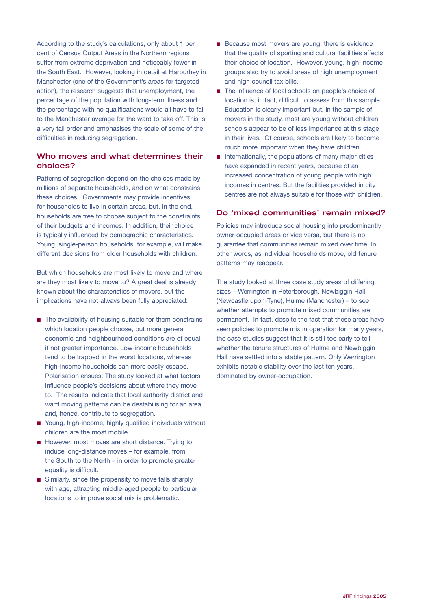According to the study's calculations, only about 1 per cent of Census Output Areas in the Northern regions suffer from extreme deprivation and noticeably fewer in the South East. However, looking in detail at Harpurhey in Manchester (one of the Government's areas for targeted action), the research suggests that unemployment, the percentage of the population with long-term illness and the percentage with no qualifications would all have to fall to the Manchester average for the ward to take off. This is a very tall order and emphasises the scale of some of the difficulties in reducing segregation.

#### Who moves and what determines their choices?

Patterns of segregation depend on the choices made by millions of separate households, and on what constrains these choices. Governments may provide incentives for households to live in certain areas, but, in the end, households are free to choose subject to the constraints of their budgets and incomes. In addition, their choice is typically influenced by demographic characteristics. Young, single-person households, for example, will make different decisions from older households with children.

But which households are most likely to move and where are they most likely to move to? A great deal is already known about the characteristics of movers, but the implications have not always been fully appreciated:

- The availability of housing suitable for them constrains which location people choose, but more general economic and neighbourhood conditions are of equal if not greater importance. Low-income households tend to be trapped in the worst locations, whereas high-income households can more easily escape. Polarisation ensues. The study looked at what factors influence people's decisions about where they move to. The results indicate that local authority district and ward moving patterns can be destabilising for an area and, hence, contribute to segregation.
- Young, high-income, highly qualified individuals without children are the most mobile.
- However, most moves are short distance. Trying to induce long-distance moves – for example, from the South to the North – in order to promote greater equality is difficult.
- Similarly, since the propensity to move falls sharply with age, attracting middle-aged people to particular locations to improve social mix is problematic.
- Because most movers are young, there is evidence that the quality of sporting and cultural facilities affects their choice of location. However, young, high-income groups also try to avoid areas of high unemployment and high council tax bills.
- The influence of local schools on people's choice of location is, in fact, difficult to assess from this sample. Education is clearly important but, in the sample of movers in the study, most are young without children: schools appear to be of less importance at this stage in their lives. Of course, schools are likely to become much more important when they have children.
- Internationally, the populations of many major cities have expanded in recent years, because of an increased concentration of young people with high incomes in centres. But the facilities provided in city centres are not always suitable for those with children.

#### Do 'mixed communities' remain mixed?

Policies may introduce social housing into predominantly owner-occupied areas or vice versa, but there is no guarantee that communities remain mixed over time. In other words, as individual households move, old tenure patterns may reappear.

The study looked at three case study areas of differing sizes – Werrington in Peterborough, Newbiggin Hall (Newcastle upon-Tyne), Hulme (Manchester) – to see whether attempts to promote mixed communities are permanent. In fact, despite the fact that these areas have seen policies to promote mix in operation for many years, the case studies suggest that it is still too early to tell whether the tenure structures of Hulme and Newbiggin Hall have settled into a stable pattern. Only Werrington exhibits notable stability over the last ten years, dominated by owner-occupation.